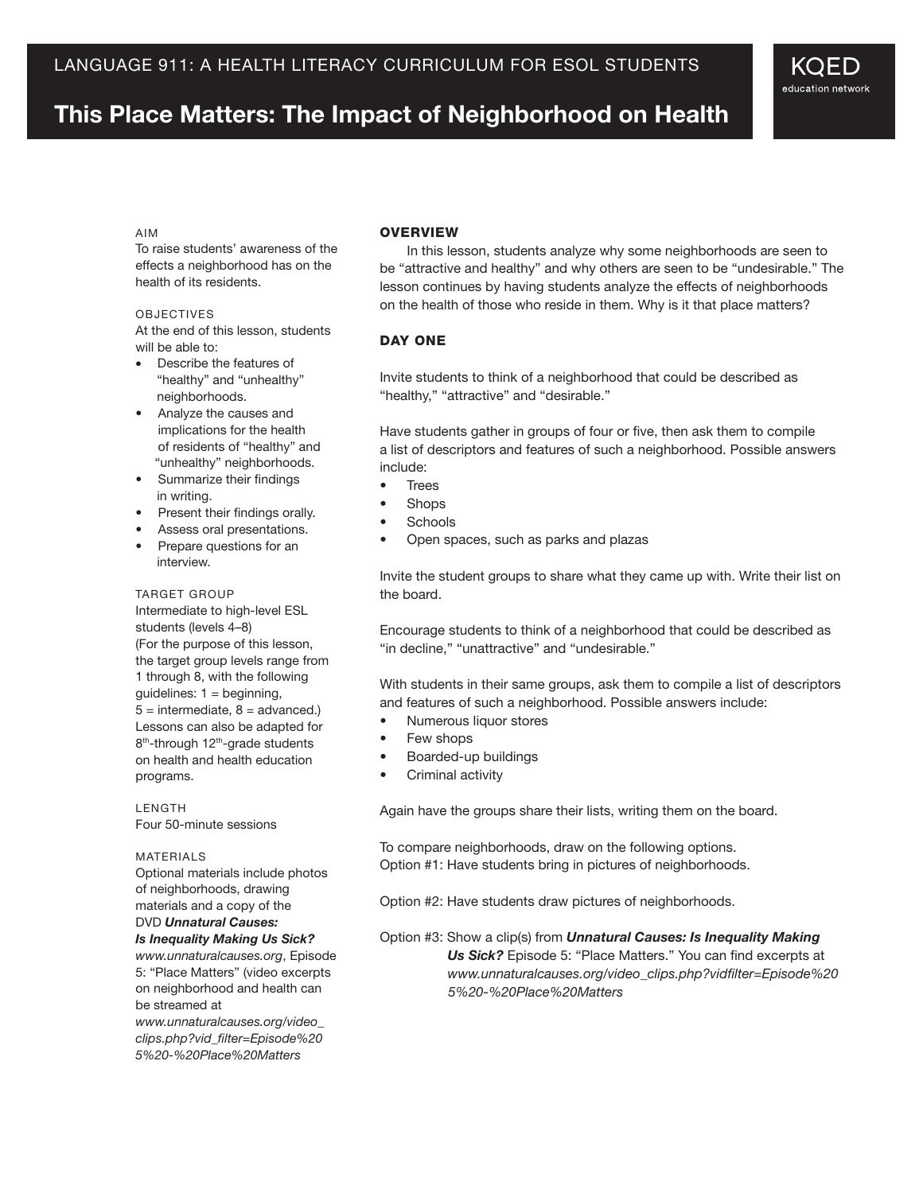# **This Place Matters: The Impact of Neighborhood on Health**

#### Aim

To raise students' awareness of the effects a neighborhood has on the health of its residents.

#### **OBJECTIVES**

At the end of this lesson, students will be able to:

- Describe the features of "healthy" and "unhealthy" neighborhoods.
- Analyze the causes and implications for the health of residents of "healthy" and "unhealthy" neighborhoods.
- Summarize their findings in writing.
- Present their findings orally.
- Assess oral presentations.
- Prepare questions for an interview.

#### TARGET GROUP

Intermediate to high-level ESL students (levels 4–8) (For the purpose of this lesson, the target group levels range from 1 through 8, with the following guidelines:  $1 =$  beginning,  $5 =$  intermediate,  $8 =$  advanced.) Lessons can also be adapted for 8<sup>th</sup>-through 12<sup>th</sup>-grade students on health and health education programs.

**LENGTH** Four 50-minute sessions

#### MATFRIAI<sub>S</sub>

Optional materials include photos of neighborhoods, drawing materials and a copy of the DVD *Unnatural Causes:* 

*Is Inequality Making Us Sick? www.unnaturalcauses.org*, Episode 5: "Place Matters" (video excerpts on neighborhood and health can be streamed at

*www.unnaturalcauses.org/video\_ clips.php?vid\_filter=Episode%20 5%20-%20Place%20Matters*

## **OVERVIEW**

In this lesson, students analyze why some neighborhoods are seen to be "attractive and healthy" and why others are seen to be "undesirable." The lesson continues by having students analyze the effects of neighborhoods on the health of those who reside in them. Why is it that place matters?

KOED education network

#### DAY ONE

Invite students to think of a neighborhood that could be described as "healthy," "attractive" and "desirable."

Have students gather in groups of four or five, then ask them to compile a list of descriptors and features of such a neighborhood. Possible answers include:

- • Trees
- **Shops**
- **Schools**
- • Open spaces, such as parks and plazas

Invite the student groups to share what they came up with. Write their list on the board.

Encourage students to think of a neighborhood that could be described as "in decline," "unattractive" and "undesirable."

With students in their same groups, ask them to compile a list of descriptors and features of such a neighborhood. Possible answers include:

- Numerous liquor stores
- Few shops
- • Boarded-up buildings
- • Criminal activity

Again have the groups share their lists, writing them on the board.

To compare neighborhoods, draw on the following options. Option #1: Have students bring in pictures of neighborhoods.

Option #2: Have students draw pictures of neighborhoods.

## Option #3: Show a clip(s) from *Unnatural Causes: Is Inequality Making Us Sick?* Episode 5: "Place Matters." You can find excerpts at  *www.unnaturalcauses.org/video\_clips.php?vidfilter=Episode%20 5%20-%20Place%20Matters*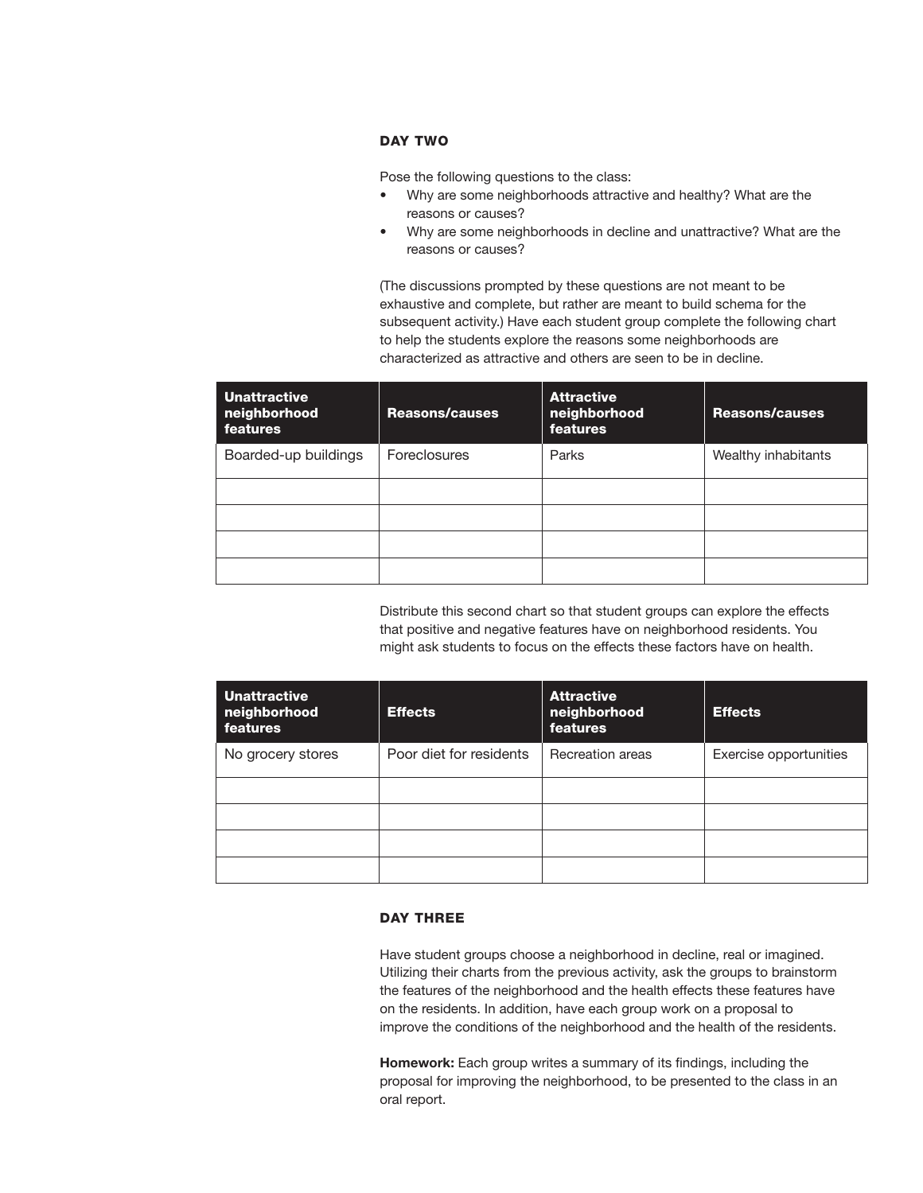# Day Two

Pose the following questions to the class:

- Why are some neighborhoods attractive and healthy? What are the reasons or causes?
- Why are some neighborhoods in decline and unattractive? What are the reasons or causes?

(The discussions prompted by these questions are not meant to be exhaustive and complete, but rather are meant to build schema for the subsequent activity.) Have each student group complete the following chart to help the students explore the reasons some neighborhoods are characterized as attractive and others are seen to be in decline.

| <b>Unattractive</b><br>neighborhood<br>features | <b>Reasons/causes</b> | <b>Attractive</b><br>neighborhood<br><b>features</b> | <b>Reasons/causes</b> |
|-------------------------------------------------|-----------------------|------------------------------------------------------|-----------------------|
| Boarded-up buildings                            | <b>Foreclosures</b>   | Parks                                                | Wealthy inhabitants   |
|                                                 |                       |                                                      |                       |
|                                                 |                       |                                                      |                       |
|                                                 |                       |                                                      |                       |
|                                                 |                       |                                                      |                       |

Distribute this second chart so that student groups can explore the effects that positive and negative features have on neighborhood residents. You might ask students to focus on the effects these factors have on health.

| <b>Unattractive</b><br>neighborhood<br>features | <b>Effects</b>          | <b>Attractive</b><br>neighborhood<br><b>features</b> | <b>Effects</b>         |
|-------------------------------------------------|-------------------------|------------------------------------------------------|------------------------|
| No grocery stores                               | Poor diet for residents | Recreation areas                                     | Exercise opportunities |
|                                                 |                         |                                                      |                        |
|                                                 |                         |                                                      |                        |
|                                                 |                         |                                                      |                        |
|                                                 |                         |                                                      |                        |

# DAY THREE

Have student groups choose a neighborhood in decline, real or imagined. Utilizing their charts from the previous activity, ask the groups to brainstorm the features of the neighborhood and the health effects these features have on the residents. In addition, have each group work on a proposal to improve the conditions of the neighborhood and the health of the residents.

**Homework:** Each group writes a summary of its findings, including the proposal for improving the neighborhood, to be presented to the class in an oral report.